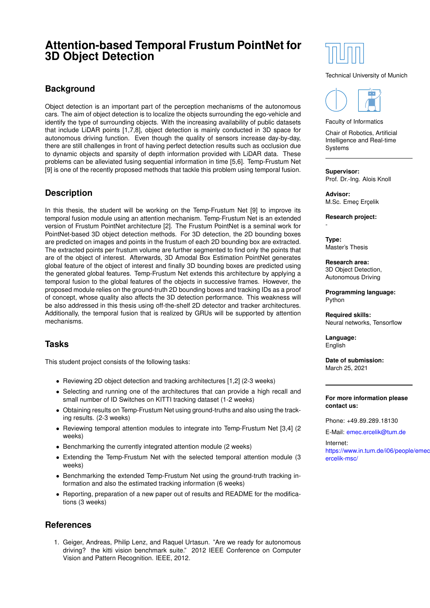# **Attention-based Temporal Frustum PointNet for 3D Object Detection**

### **Background**

Object detection is an important part of the perception mechanisms of the autonomous cars. The aim of object detection is to localize the objects surrounding the ego-vehicle and identify the type of surrounding objects. With the increasing availability of public datasets that include LiDAR points [1,7,8], object detection is mainly conducted in 3D space for autonomous driving function. Even though the quality of sensors increase day-by-day, there are still challenges in front of having perfect detection results such as occlusion due to dynamic objects and sparsity of depth information provided with LiDAR data. These problems can be alleviated fusing sequential information in time [5,6]. Temp-Frustum Net [9] is one of the recently proposed methods that tackle this problem using temporal fusion.

## **Description**

In this thesis, the student will be working on the Temp-Frustum Net [9] to improve its temporal fusion module using an attention mechanism. Temp-Frustum Net is an extended version of Frustum PointNet architecture [2]. The Frustum PointNet is a seminal work for PointNet-based 3D object detection methods. For 3D detection, the 2D bounding boxes are predicted on images and points in the frustum of each 2D bounding box are extracted. The extracted points per frustum volume are further segmented to find only the points that are of the object of interest. Afterwards, 3D Amodal Box Estimation PointNet generates global feature of the object of interest and finally 3D bounding boxes are predicted using the generated global features. Temp-Frustum Net extends this architecture by applying a temporal fusion to the global features of the objects in successive frames. However, the proposed module relies on the ground-truth 2D bounding boxes and tracking IDs as a proof of concept, whose quality also affects the 3D detection performance. This weakness will be also addressed in this thesis using off-the-shelf 2D detector and tracker architectures. Additionally, the temporal fusion that is realized by GRUs will be supported by attention mechanisms.

### **Tasks**

This student project consists of the following tasks:

- Reviewing 2D object detection and tracking architectures [1,2] (2-3 weeks)
- Selecting and running one of the architectures that can provide a high recall and small number of ID Switches on KITTI tracking dataset (1-2 weeks)
- Obtaining results on Temp-Frustum Net using ground-truths and also using the tracking results. (2-3 weeks)
- Reviewing temporal attention modules to integrate into Temp-Frustum Net [3,4] (2 weeks)
- Benchmarking the currently integrated attention module (2 weeks)
- Extending the Temp-Frustum Net with the selected temporal attention module (3 weeks)
- Benchmarking the extended Temp-Frustum Net using the ground-truth tracking information and also the estimated tracking information (6 weeks)
- Reporting, preparation of a new paper out of results and README for the modifications (3 weeks)

#### **References**

1. Geiger, Andreas, Philip Lenz, and Raquel Urtasun. "Are we ready for autonomous driving? the kitti vision benchmark suite." 2012 IEEE Conference on Computer Vision and Pattern Recognition. IEEE, 2012.



#### Technical University of Munich



Faculty of Informatics

Chair of Robotics, Artificial Intelligence and Real-time **Systems** 

**Supervisor:**

Prof. Dr.-Ing. Alois Knoll

**Advisor:** M.Sc. Emeç Erçelik

**Research project:**

**Type:** Master's Thesis

-

**Research area:** 3D Object Detection, Autonomous Driving

**Programming language:** Python

**Required skills:** Neural networks, Tensorflow

**Language:** English

**Date of submission:** March 25, 2021

#### **For more information please contact us:**

Phone: +49.89.289.18130

E-Mail: [emec.ercelik@tum.de](mailto:emec.ercelik@tum.de)

Internet: [https://www.in.tum.de/i06/people](http://https://www.in.tum.de/i06/people/emec-ercelik-msc//)/emec[ercelik-msc/](http://https://www.in.tum.de/i06/people/emec-ercelik-msc//)